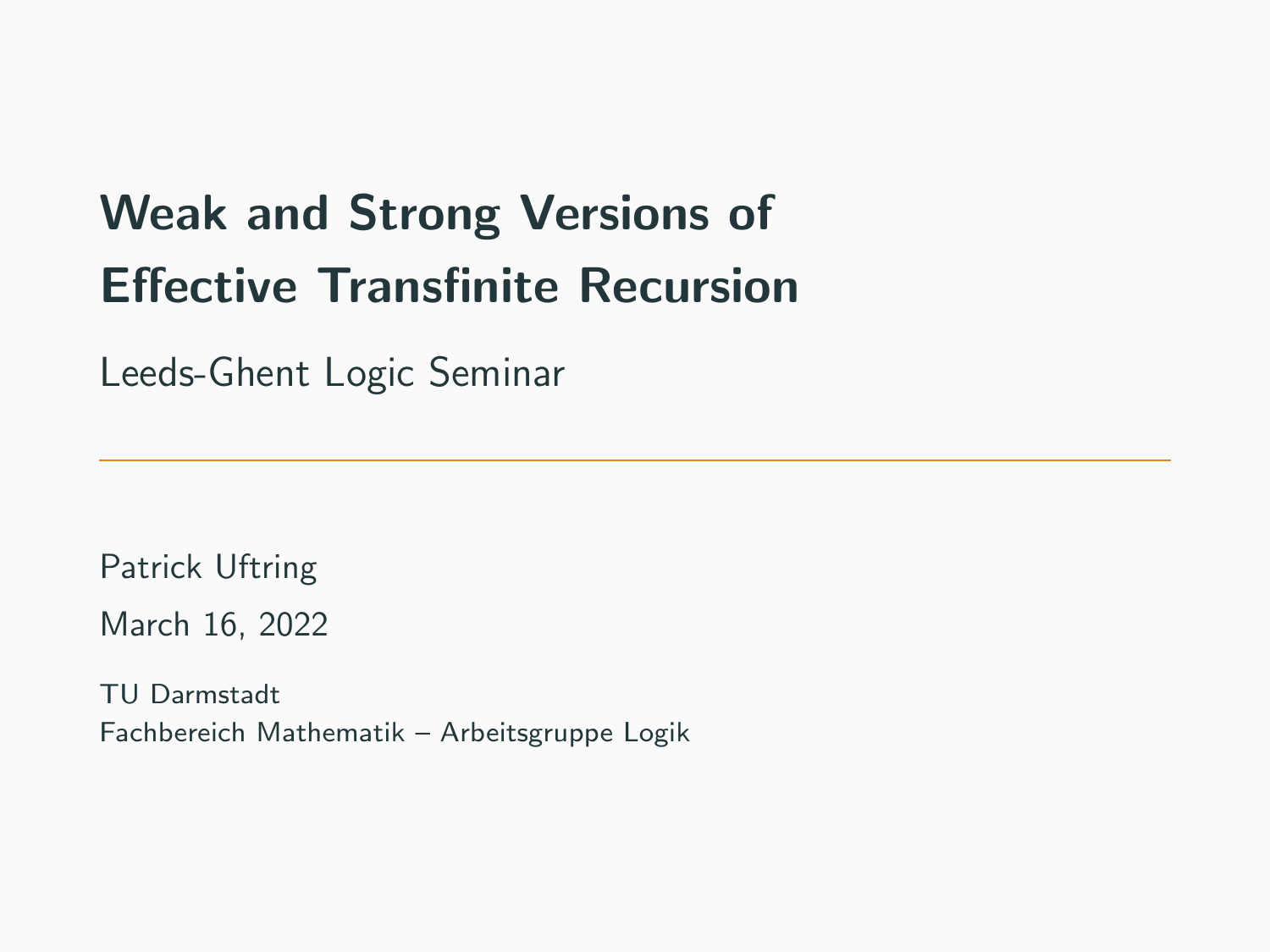# Weak and Strong Versions of Effective Transfinite Recursion

Leeds-Ghent Logic Seminar

Patrick Uftring March 16, 2022

TU Darmstadt Fachbereich Mathematik – Arbeitsgruppe Logik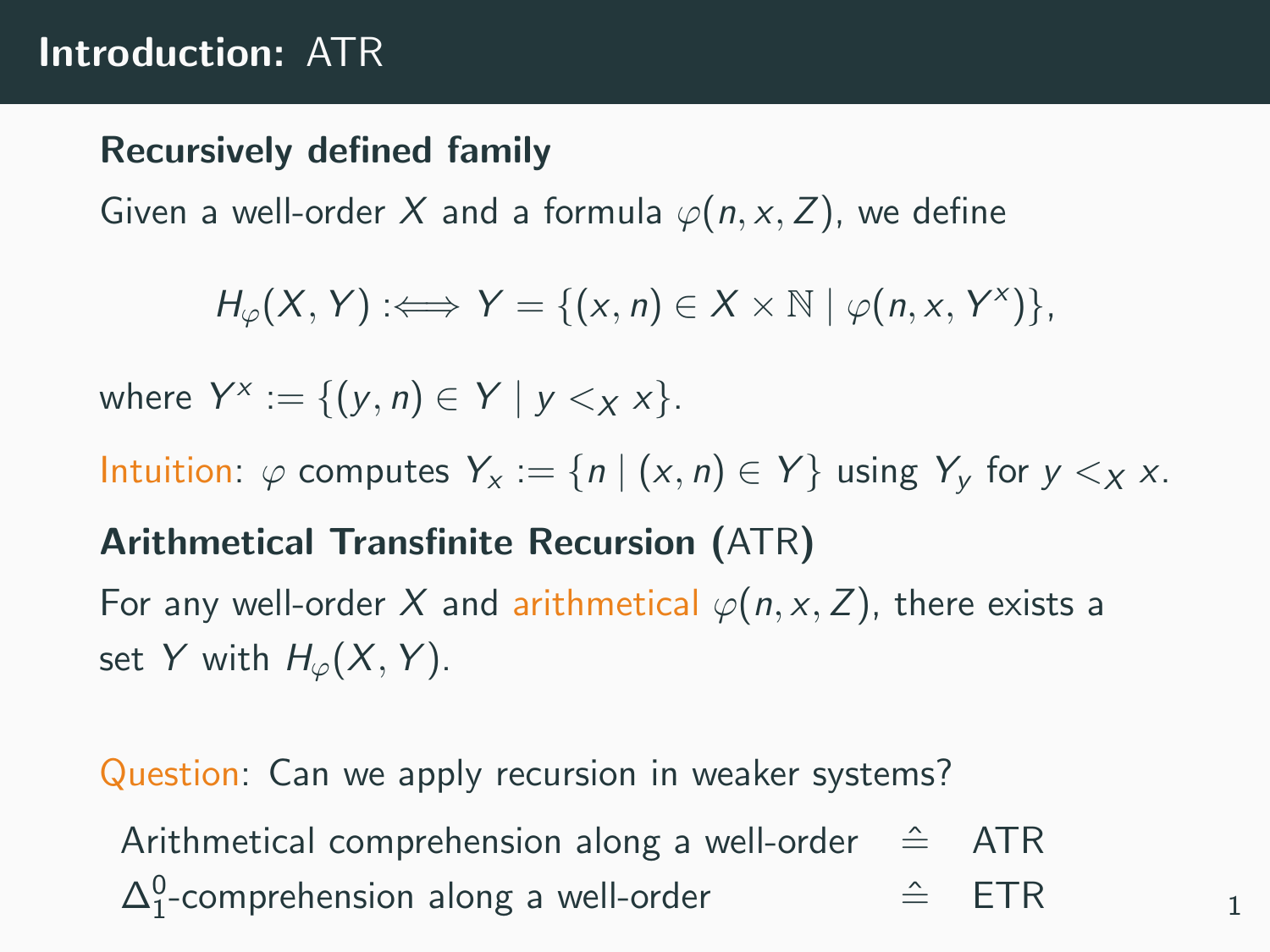### Introduction: ATR

#### Recursively defined family

Given a well-order X and a formula  $\varphi(n, x, Z)$ , we define

$$
H_{\varphi}(X,Y): \Longleftrightarrow Y = \{(x,n) \in X \times \mathbb{N} \mid \varphi(n,x,Y^x)\},
$$

where  $Y^x := \{(y, n) \in Y \mid y <_X x\}.$ 

Intuition:  $\varphi$  computes  $Y_x := \{n \mid (x, n) \in Y\}$  using  $Y_y$  for  $y \leq_X x$ .

#### Arithmetical Transfinite Recursion (ATR)

For any well-order X and arithmetical  $\varphi(n, x, Z)$ , there exists a set Y with  $H_{\varphi}(X, Y)$ .

Question: Can we apply recursion in weaker systems?

Arithmetical comprehension along a well-order  $\hat{=}$  ATR  $\Delta_1^0$ -comprehension along a well-order  $\hat{=}$  ETR  $_1$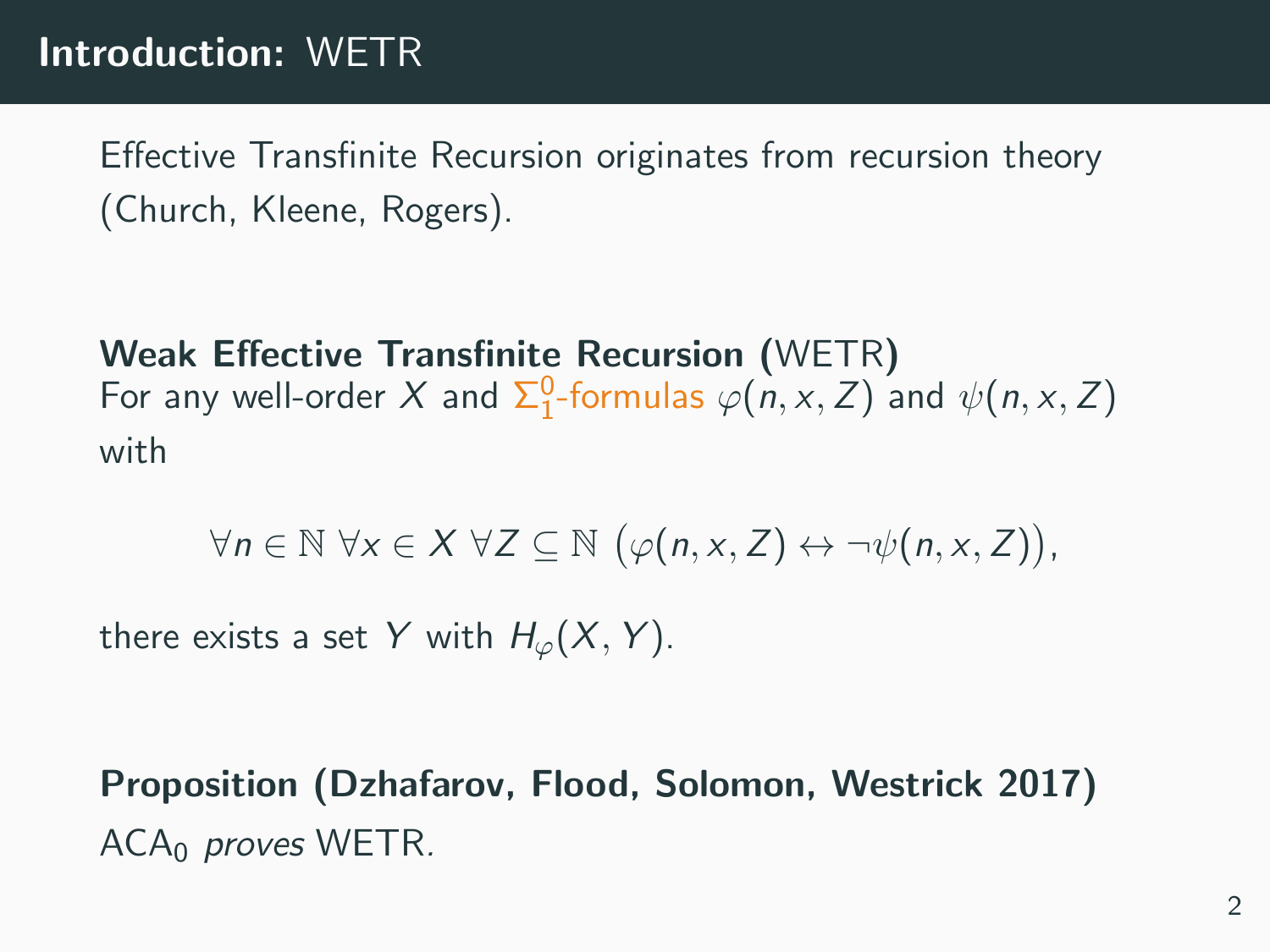## Introduction: WETR

Effective Transfinite Recursion originates from recursion theory (Church, Kleene, Rogers).

Weak Effective Transfinite Recursion (WETR) For any well-order X and  $\Sigma^0_1$ -formulas  $\varphi(n, x, Z)$  and  $\psi(n, x, Z)$ with

$$
\forall n \in \mathbb{N} \ \forall x \in X \ \forall Z \subseteq \mathbb{N} \ \big( \varphi(n,x,Z) \leftrightarrow \neg \psi(n,x,Z) \big),
$$

there exists a set Y with  $H_{\varphi}(X, Y)$ .

Proposition (Dzhafarov, Flood, Solomon, Westrick 2017)  $ACA<sub>0</sub>$  proves WETR.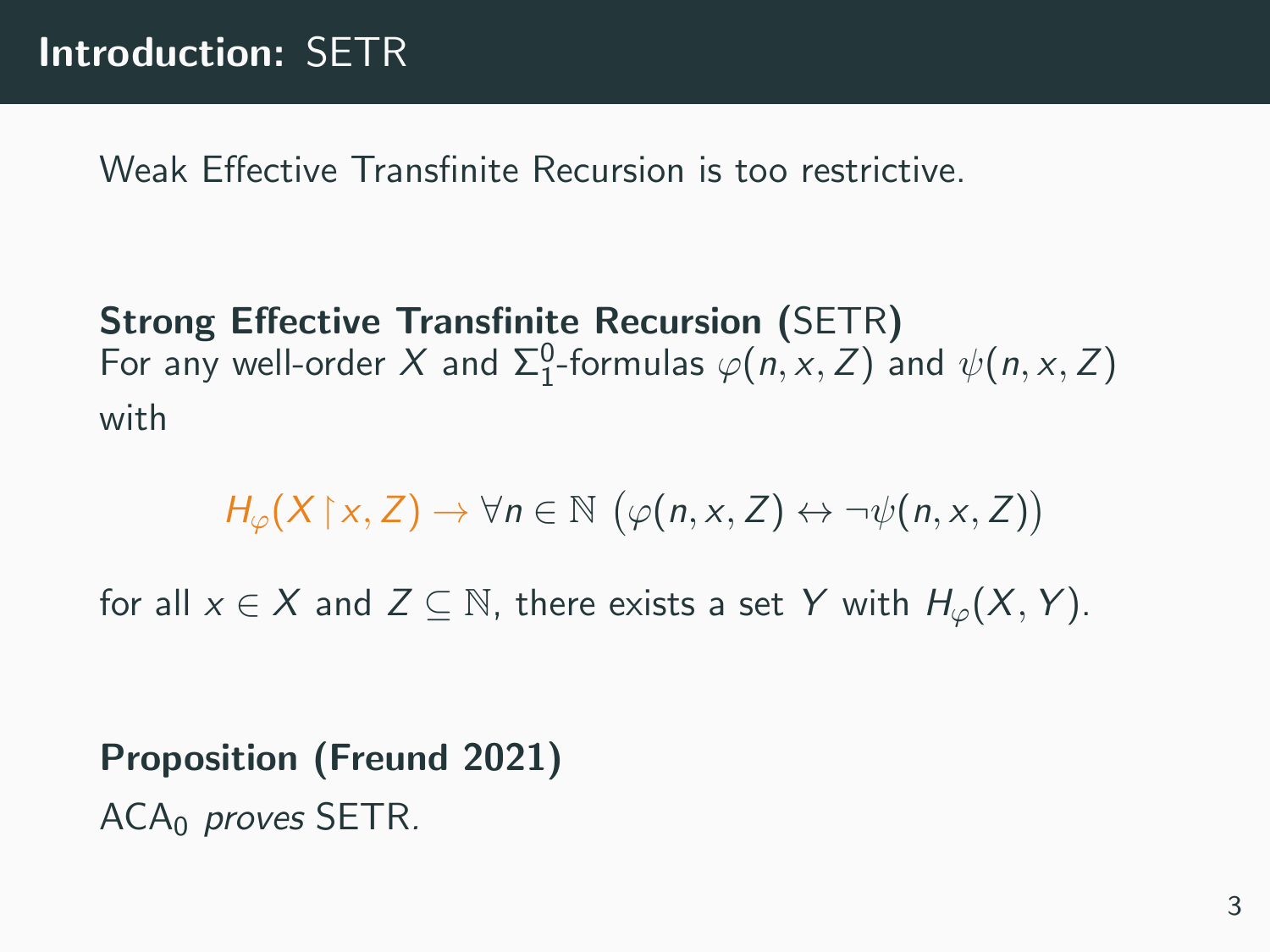Weak Effective Transfinite Recursion is too restrictive.

Strong Effective Transfinite Recursion (SETR) For any well-order X and  $\Sigma^0_1$ -formulas  $\varphi(n,x,Z)$  and  $\psi(n,x,Z)$ with

$$
H_{\varphi}(X \upharpoonright x, Z) \to \forall n \in \mathbb{N} \ (\varphi(n, x, Z) \leftrightarrow \neg \psi(n, x, Z))
$$

for all  $x \in X$  and  $Z \subseteq \mathbb{N}$ , there exists a set Y with  $H_{\varphi}(X, Y)$ .

Proposition (Freund 2021) ACA<sub>0</sub> proves SETR.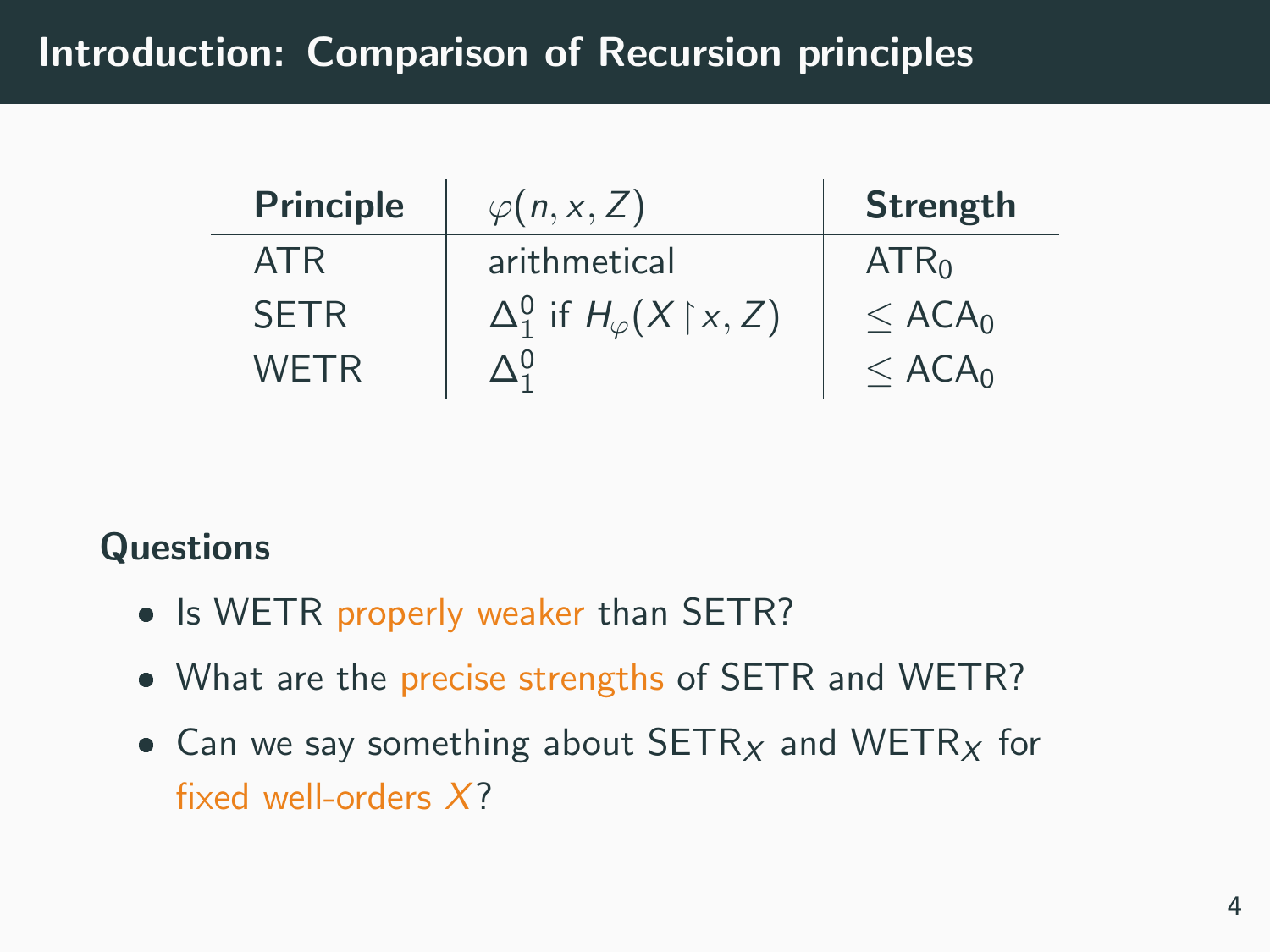## Introduction: Comparison of Recursion principles

| <b>Principle</b> | $\varphi(n, x, Z)$                                    | <b>Strength</b>      |
|------------------|-------------------------------------------------------|----------------------|
| ATR              | arithmetical                                          | ATR <sub>0</sub>     |
| <b>SETR</b>      | $\Delta_1^0$ if $H_{\varphi}(X \upharpoonright x, Z)$ | $<$ ACA <sub>0</sub> |
| <b>WETR</b>      |                                                       | $<$ ACA <sub>0</sub> |

#### **Questions**

- Is WETR properly weaker than SETR?
- What are the precise strengths of SETR and WETR?
- Can we say something about  $SETR_X$  and  $WETR_X$  for fixed well-orders X?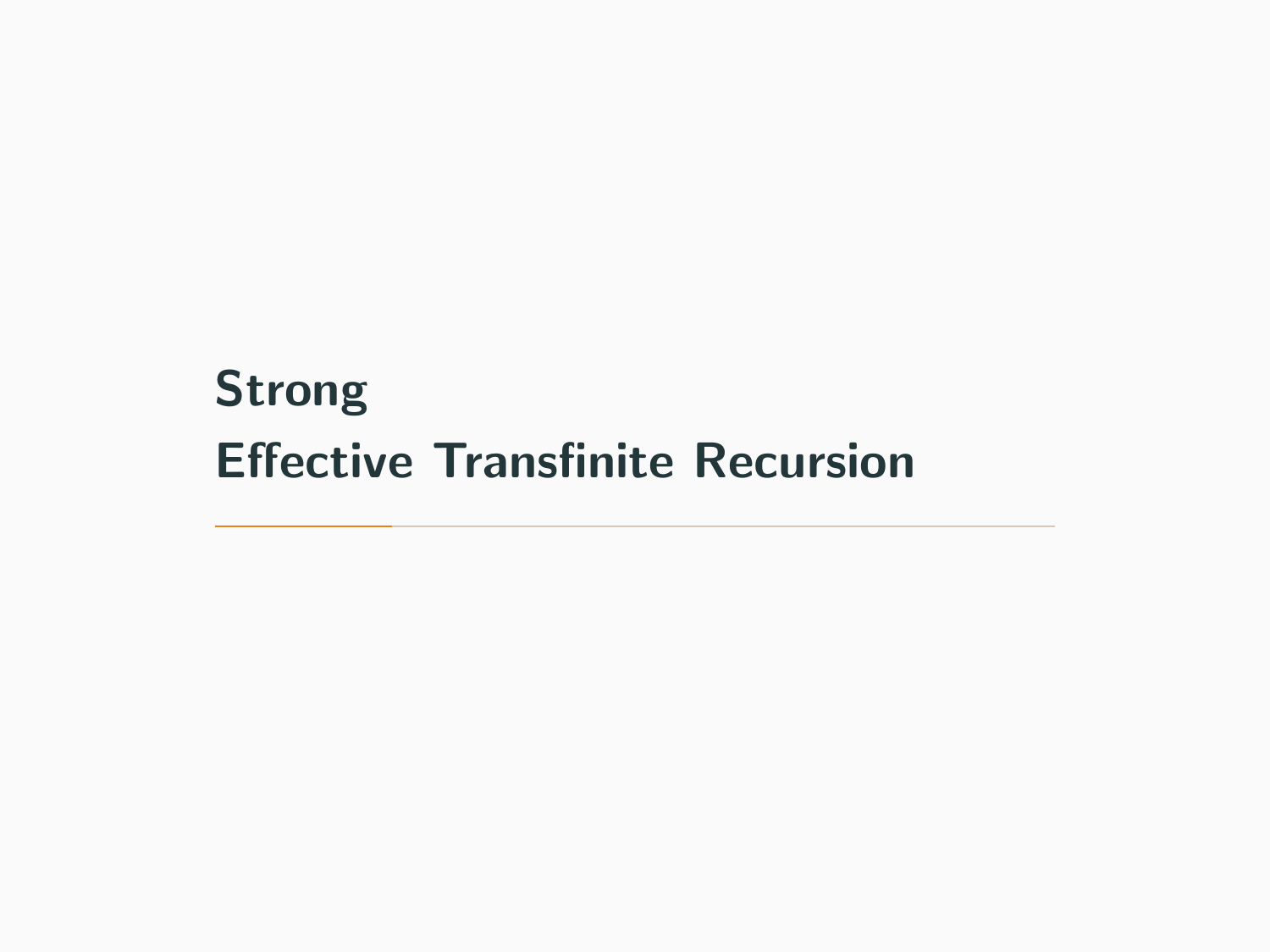# <span id="page-5-0"></span>[Strong](#page-5-0) [Effective Transfinite Recursion](#page-5-0)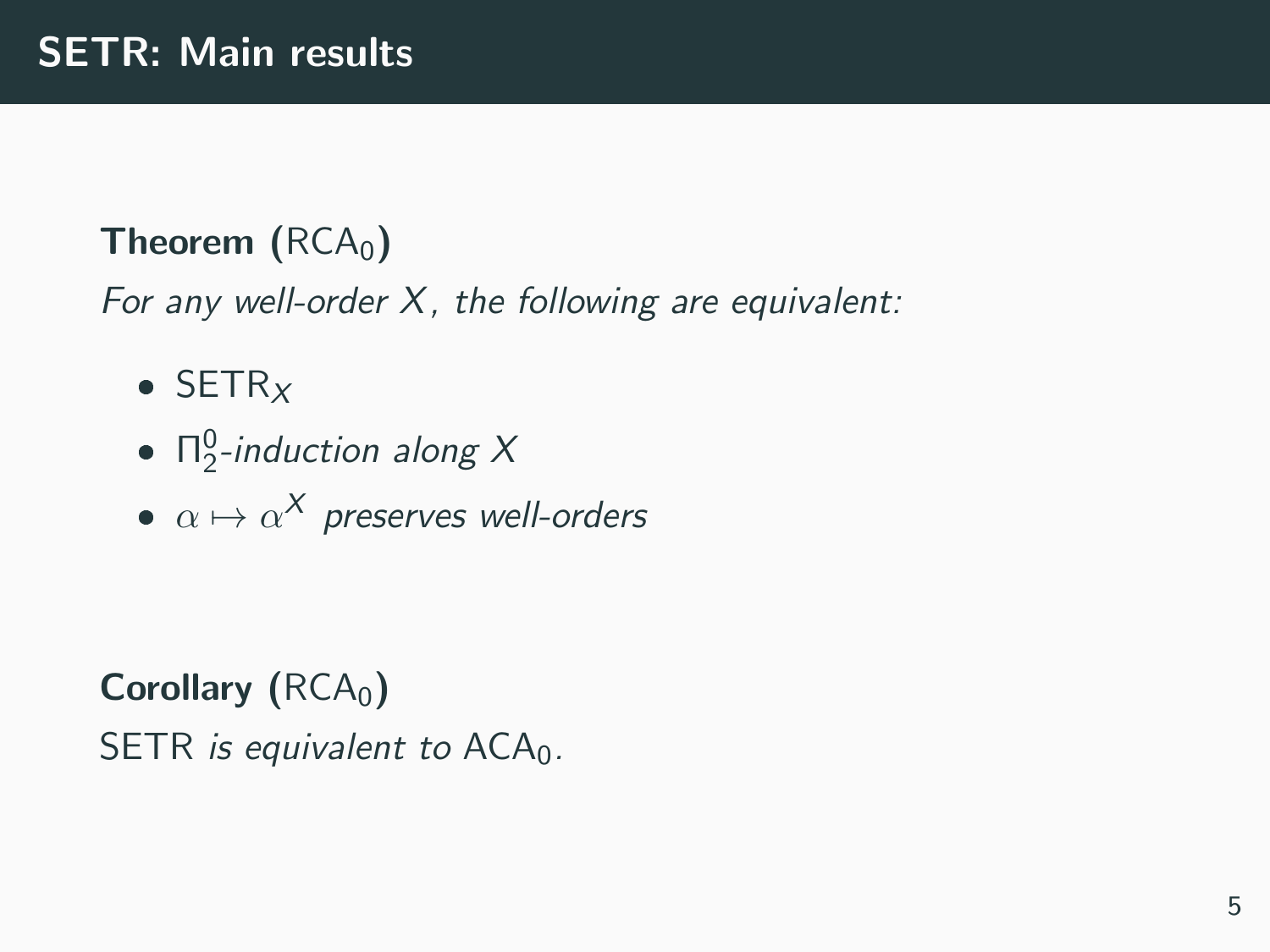## Theorem  $(RCA<sub>0</sub>)$

For any well-order X, the following are equivalent:

- $\bullet$  SETR<sub>X</sub>
- $\Pi_2^0$ -induction along X
- $\alpha \mapsto \alpha^{\mathsf{X}}$  preserves well-orders

Corollary  $(RCA<sub>0</sub>)$ SETR is equivalent to  $ACA_0$ .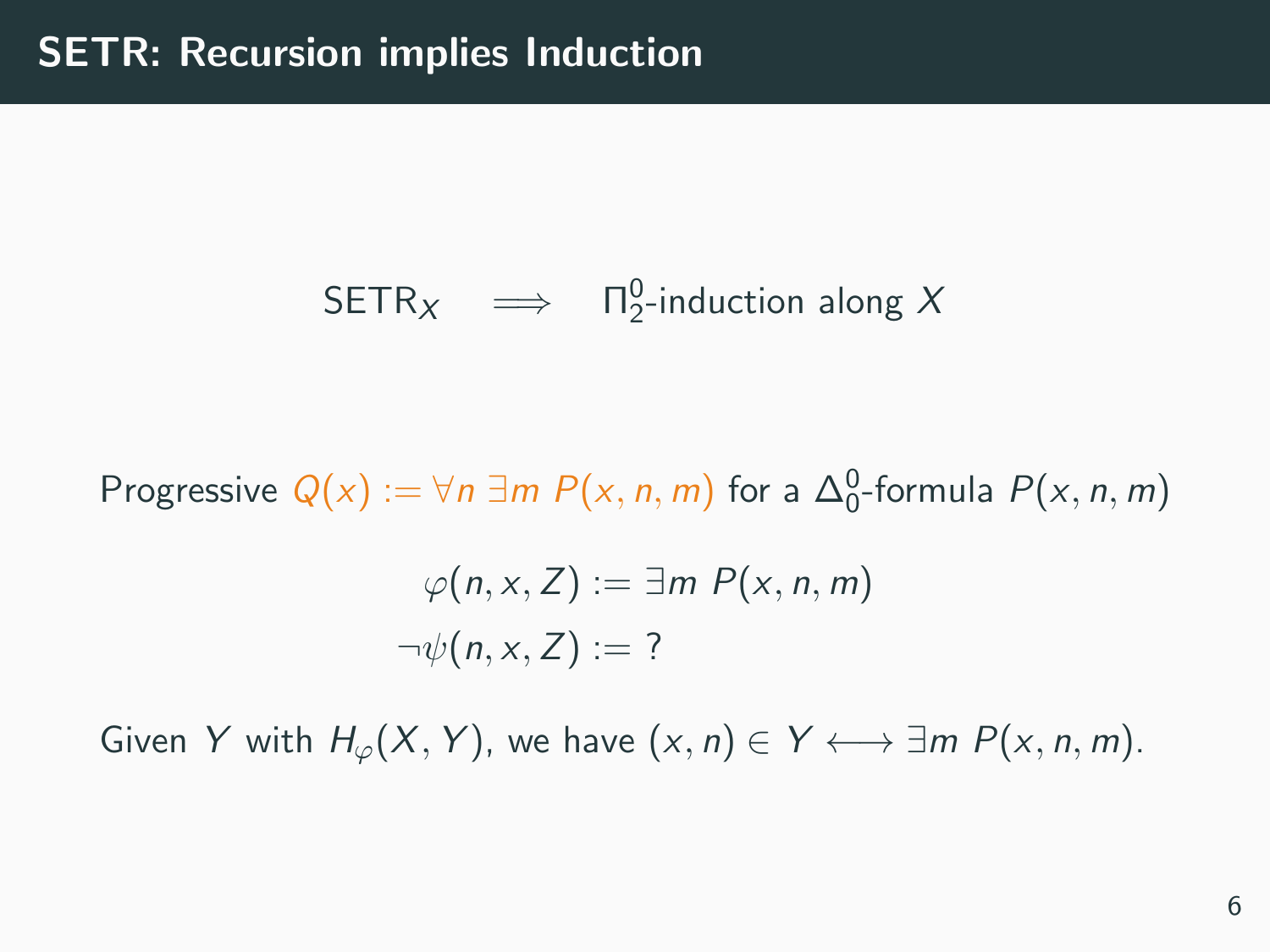# $\mathsf{SETR}_X \quad \Longrightarrow \quad \Pi^0_2\text{-induction along } X$

Progressive  $Q(x) := \forall n \exists m \ P(x, n, m)$  for a  $\Delta_0^0$ -formula  $P(x, n, m)$ 

$$
\varphi(n, x, Z) := \exists m \ P(x, n, m)
$$

$$
\neg \psi(n, x, Z) := ?
$$

Given Y with  $H_{\varphi}(X, Y)$ , we have  $(x, n) \in Y \longleftrightarrow \exists m P(x, n, m)$ .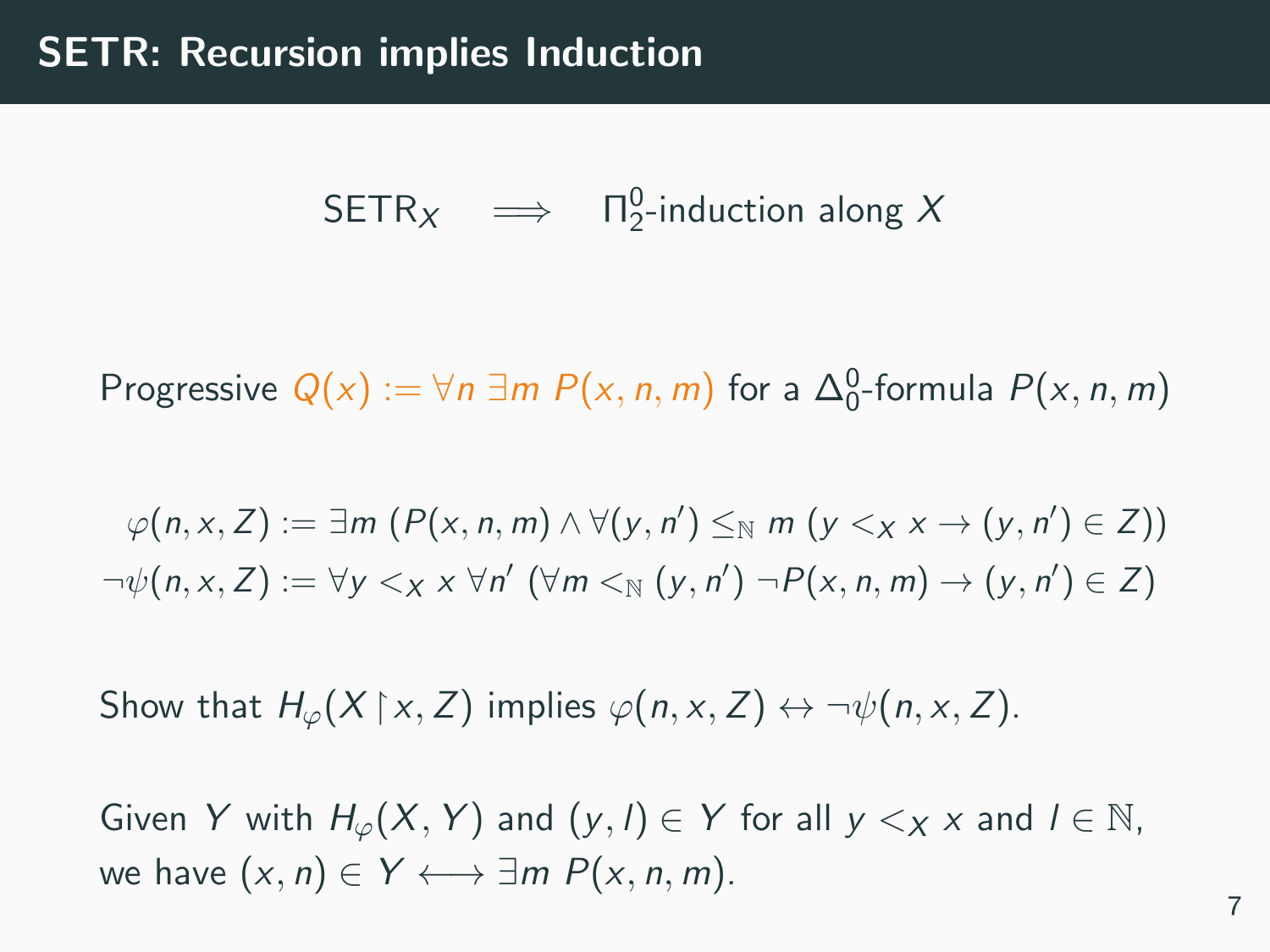$\mathsf{SETR}_X \quad \Longrightarrow \quad \Pi^0_2\text{-induction along } X$ 

Progressive  $Q(x) := \forall n \exists m \ P(x, n, m)$  for a  $\Delta_0^0$ -formula  $P(x, n, m)$ 

$$
\varphi(n, x, Z) := \exists m \ (P(x, n, m) \land \forall (y, n') \leq_N m \ (y < x \times \rightarrow (y, n') \in Z))
$$
\n
$$
\neg \psi(n, x, Z) := \forall y < x \times \forall n' \ (\forall m <_N (y, n') \ \neg P(x, n, m) \rightarrow (y, n') \in Z)
$$

Show that  $H_{\varphi}(X \upharpoonright x, Z)$  implies  $\varphi(n, x, Z) \leftrightarrow \neg \psi(n, x, Z)$ .

Given Y with  $H_{\varphi}(X, Y)$  and  $(y, l) \in Y$  for all  $y <_{X} x$  and  $l \in \mathbb{N}$ , we have  $(x, n) \in Y \longleftrightarrow \exists m P(x, n, m)$ .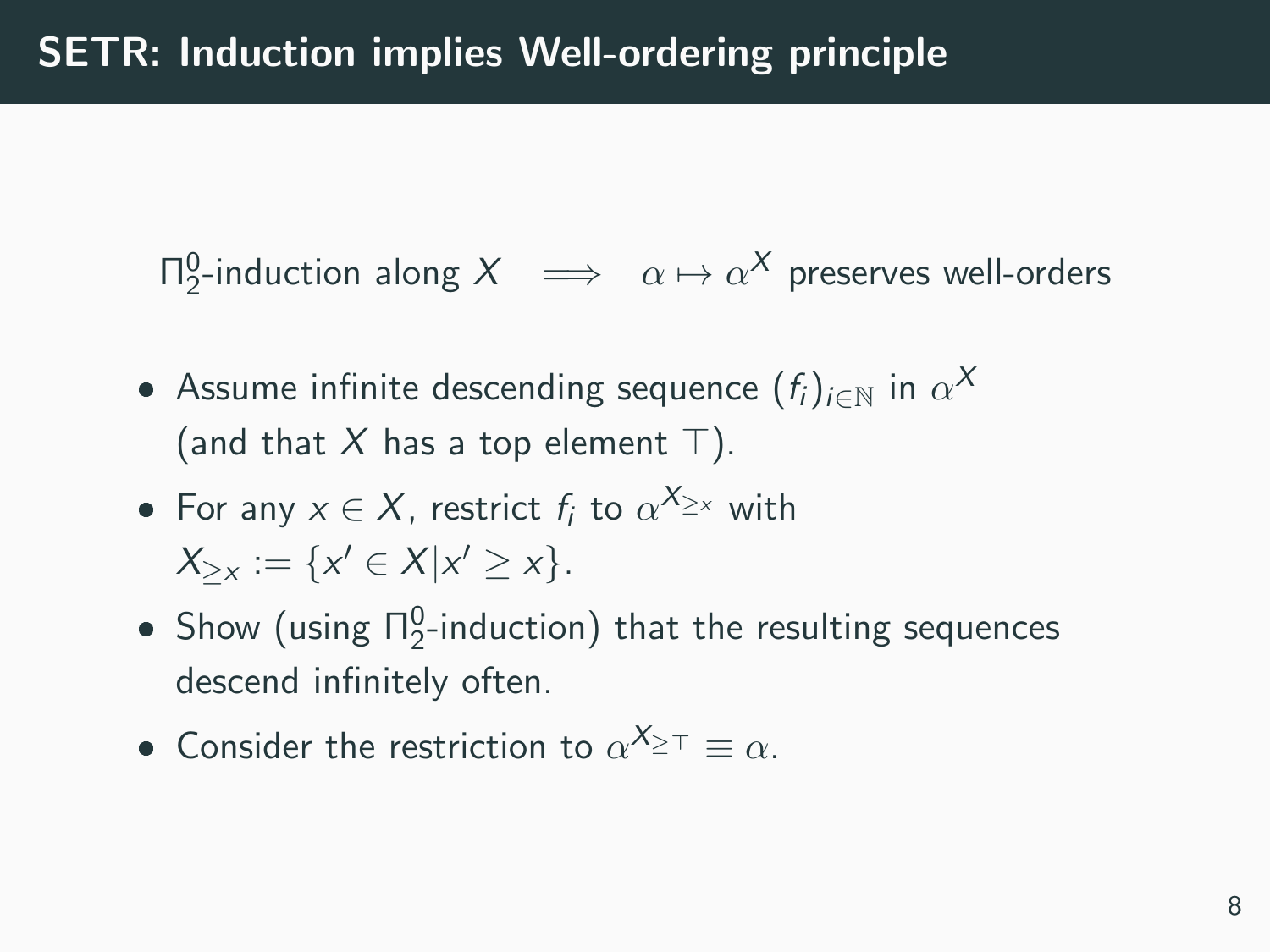Π $_2^0$ -induction along  $X \implies \alpha \mapsto \alpha^X$  preserves well-orders

- Assume infinite descending sequence  $(f_i)_{i\in\mathbb{N}}$  in  $\alpha^\mathcal{X}$ (and that X has a top element  $\top$ ).
- For any  $x \in X$ , restrict  $f_i$  to  $\alpha^{X_{\geq x}}$  with  $X_{\geq x} := \{x' \in X | x' \geq x\}.$
- Show (using  $\Pi_2^0$ -induction) that the resulting sequences descend infinitely often.
- Consider the restriction to  $\alpha^{X_{\geq T}} \equiv \alpha$ .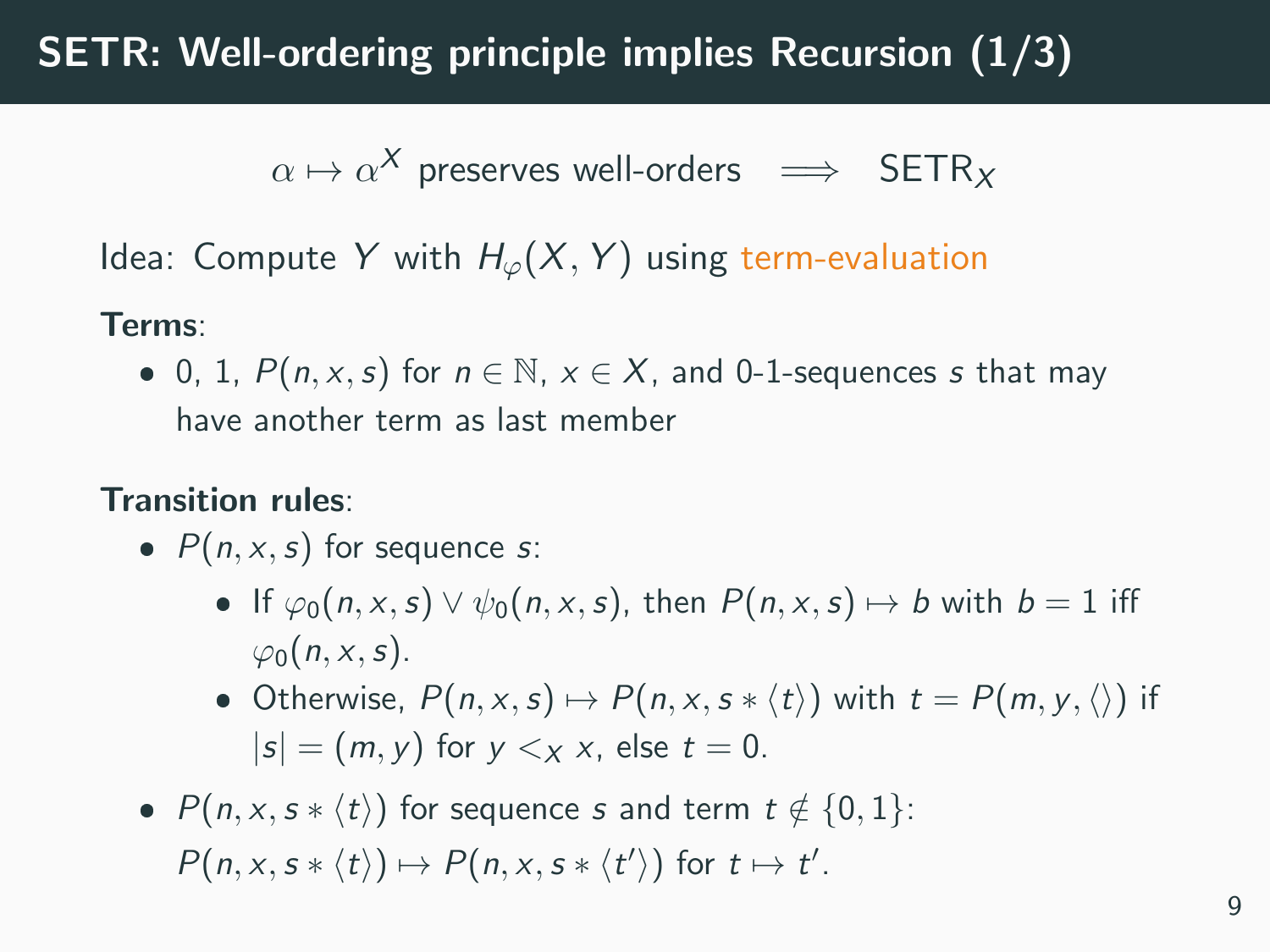# SETR: Well-ordering principle implies Recursion (1/3)

$$
\alpha \mapsto \alpha^X \text{ preserves well-orders } \implies \text{ SETR}_X
$$

Idea: Compute Y with  $H_{\varphi}(X, Y)$  using term-evaluation

#### Terms:

• 0, 1,  $P(n, x, s)$  for  $n \in \mathbb{N}$ ,  $x \in X$ , and 0-1-sequences s that may have another term as last member

#### Transition rules:

- $P(n, x, s)$  for sequence s:
	- If  $\varphi_0(n, x, s) \vee \psi_0(n, x, s)$ , then  $P(n, x, s) \mapsto b$  with  $b = 1$  iff  $\varphi_0(n, x, s)$ .
	- Otherwise,  $P(n, x, s) \mapsto P(n, x, s * \langle t \rangle)$  with  $t = P(m, y, \langle \rangle)$  if  $|s| = (m, y)$  for  $y \leq x$  x, else  $t = 0$ .
- $P(n, x, s * \langle t \rangle)$  for sequence s and term  $t \notin \{0, 1\}$ :  $P(n, x, s * \langle t \rangle) \mapsto P(n, x, s * \langle t' \rangle)$  for  $t \mapsto t'$ .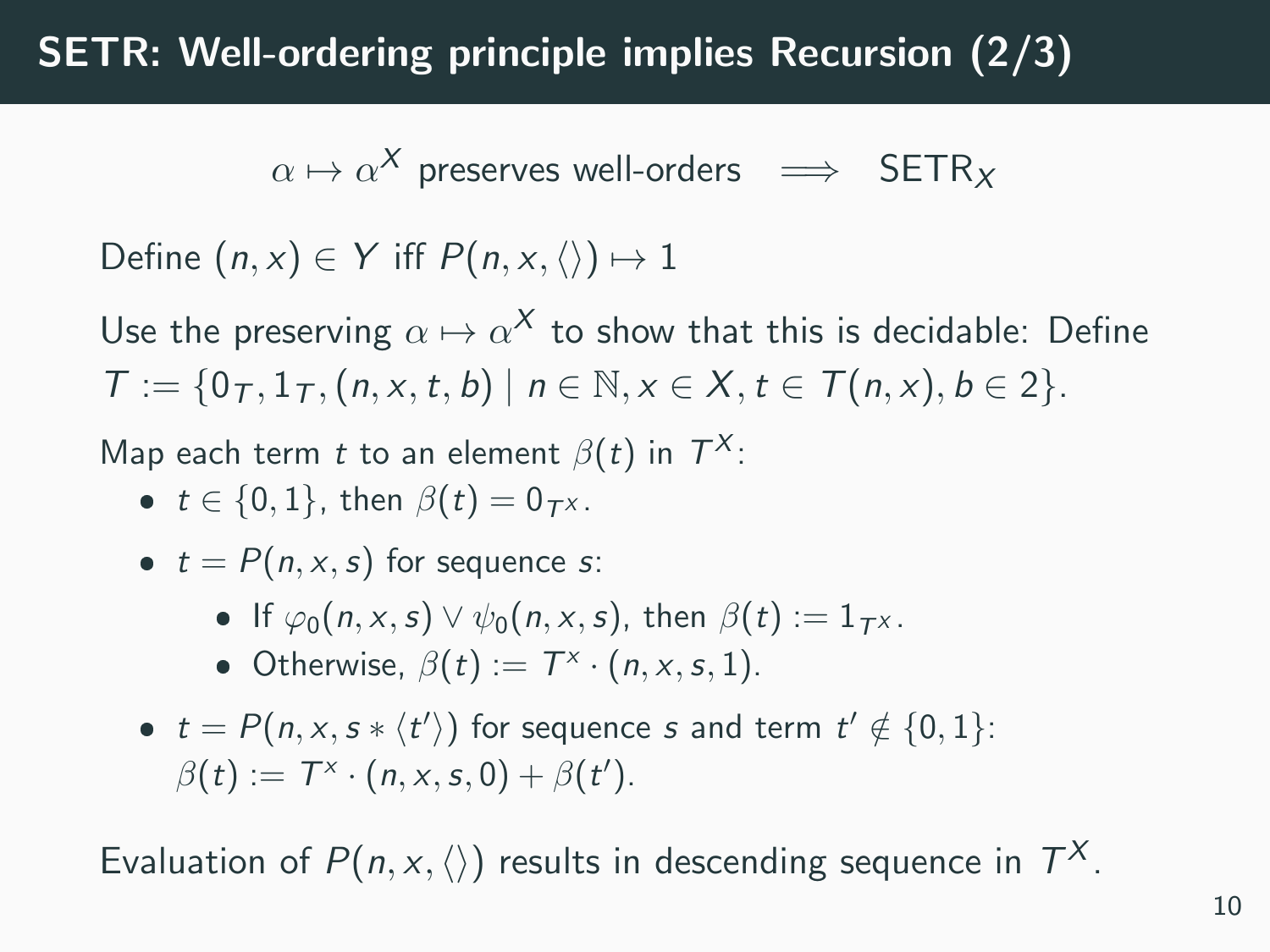# SETR: Well-ordering principle implies Recursion (2/3)

$$
\alpha \mapsto \alpha^X \text{ preserves well-orders } \implies \text{ SETR}_X
$$

Define  $(n, x) \in Y$  iff  $P(n, x, \langle \rangle) \mapsto 1$ 

Use the preserving  $\alpha \mapsto \alpha^\mathcal{X}$  to show that this is decidable: Define  $T := \{0, 1, 1, (n, x, t, b) \mid n \in \mathbb{N}, x \in X, t \in T(n, x), b \in 2\}.$ 

Map each term t to an element  $\beta(t)$  in  $T^X$ :

- $t \in \{0, 1\}$ , then  $\beta(t) = 0_{T}$ x.
- $t = P(n, x, s)$  for sequence s:
	- If  $\varphi_0(n, x, s) \vee \psi_0(n, x, s)$ , then  $\beta(t) := 1_{T^X}$ .
	- Otherwise,  $\beta(t) := T^{\times} \cdot (n, x, s, 1)$ .
- $t = P(n, x, s * \langle t' \rangle)$  for sequence s and term  $t' \notin \{0, 1\}$ :  $\beta(t) := T^x \cdot (n, x, s, 0) + \beta(t').$

Evaluation of  $P(n, x, \langle \rangle)$  results in descending sequence in  $T^X$ .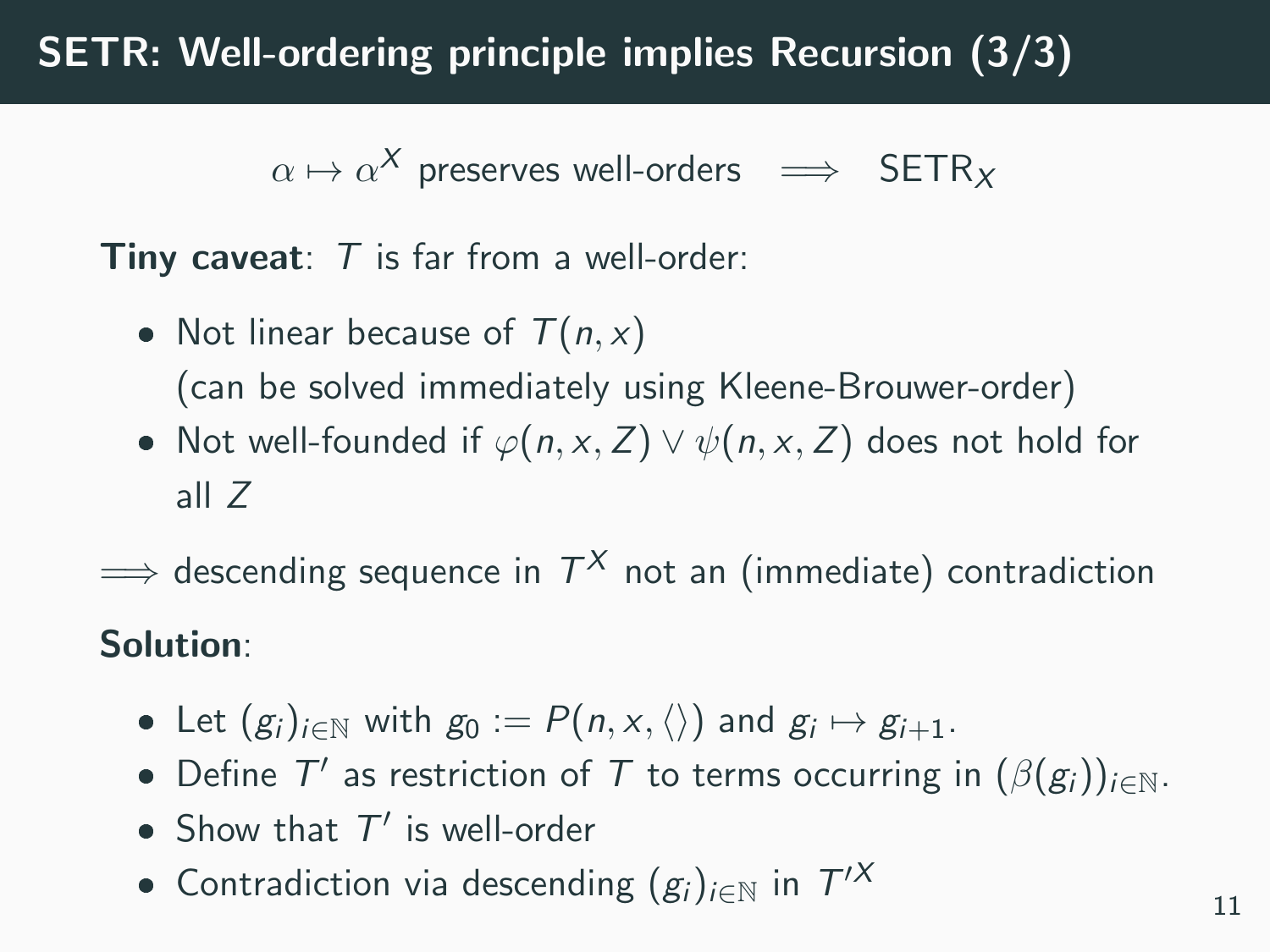# SETR: Well-ordering principle implies Recursion (3/3)

 $\alpha \mapsto \alpha^{\mathsf{X}}$  preserves well-orders  $\implies$  SETR<sub>X</sub>

**Tiny caveat:**  $T$  is far from a well-order:

- Not linear because of  $T(n, x)$ (can be solved immediately using Kleene-Brouwer-order)
- Not well-founded if  $\varphi(n, x, Z) \vee \psi(n, x, Z)$  does not hold for all Z
- $\Longrightarrow$  descending sequence in  $\mathcal{T}^X$  not an (immediate) contradiction

#### Solution:

- Let  $(g_i)_{i\in\mathbb{N}}$  with  $g_0 := P(n, x, \langle \rangle)$  and  $g_i \mapsto g_{i+1}$ .
- Define  $T'$  as restriction of  $T$  to terms occurring in  $(\beta(g_i))_{i\in\mathbb{N}}$ .
- Show that  $T'$  is well-order
- Contradiction via descending  $(g_i)_{i\in\mathbb{N}}$  in  $T'^{X}$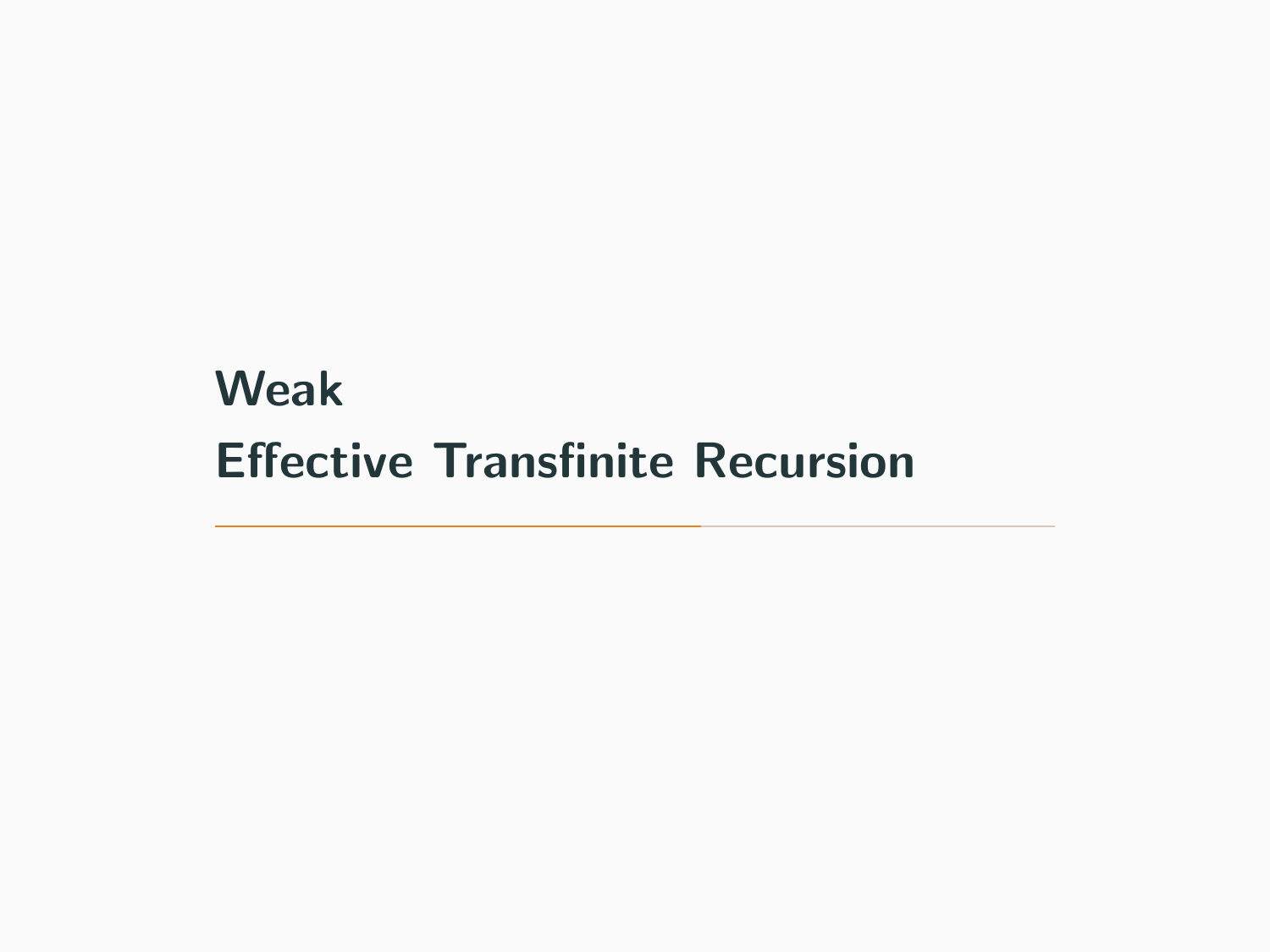# <span id="page-13-0"></span>[Weak](#page-13-0) [Effective Transfinite Recursion](#page-13-0)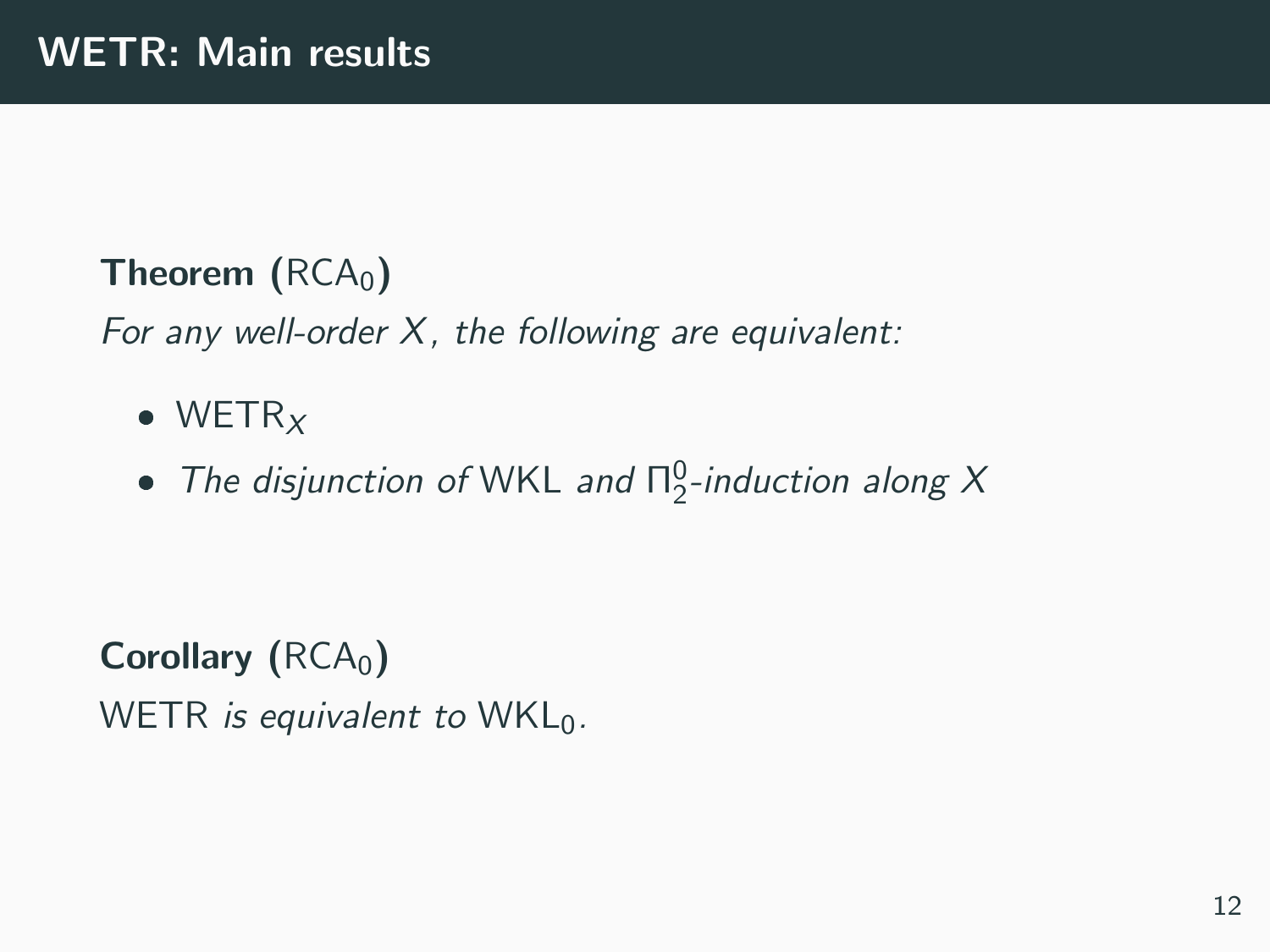### **Theorem**  $(RCA<sub>0</sub>)$

For any well-order X, the following are equivalent:

- $\bullet$  WETR<sub>X</sub>
- The disjunction of WKL and  $\Pi^0_2$ -induction along X

Corollary  $(RCA<sub>0</sub>)$ WETR is equivalent to  $WKL_0$ .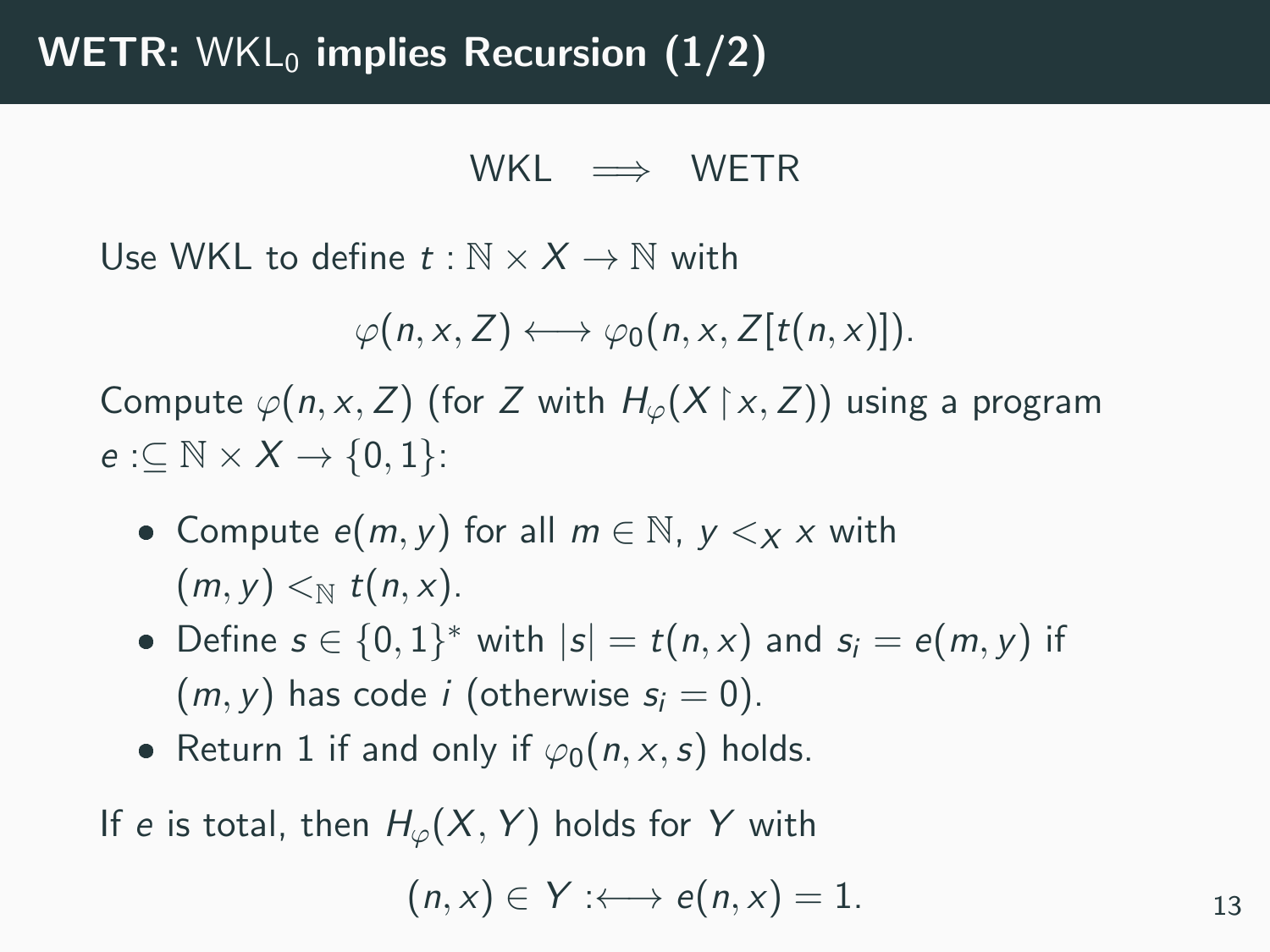$WKI \implies WFTR$ 

Use WKL to define  $t : \mathbb{N} \times X \to \mathbb{N}$  with

 $\varphi(n, x, Z) \longleftrightarrow \varphi_0(n, x, Z[t(n, x)]).$ 

Compute  $\varphi(n, x, Z)$  (for Z with  $H_{\varphi}(X | x, Z)$ ) using a program  $e: \subseteq \mathbb{N} \times X \rightarrow \{0,1\}$ :

- Compute  $e(m, y)$  for all  $m \in \mathbb{N}$ ,  $y \leq_X x$  with  $(m, y) <_{\mathbb{N}} t(n, x)$ .
- Define  $s \in \{0,1\}^*$  with  $|s| = t(n,x)$  and  $s_i = e(m, y)$  if  $(m, v)$  has code *i* (otherwise  $s_i = 0$ ).
- Return 1 if and only if  $\varphi_0(n, x, s)$  holds.

If e is total, then  $H_{\varphi}(X, Y)$  holds for Y with

$$
(n,x)\in Y:\longleftrightarrow e(n,x)=1.
$$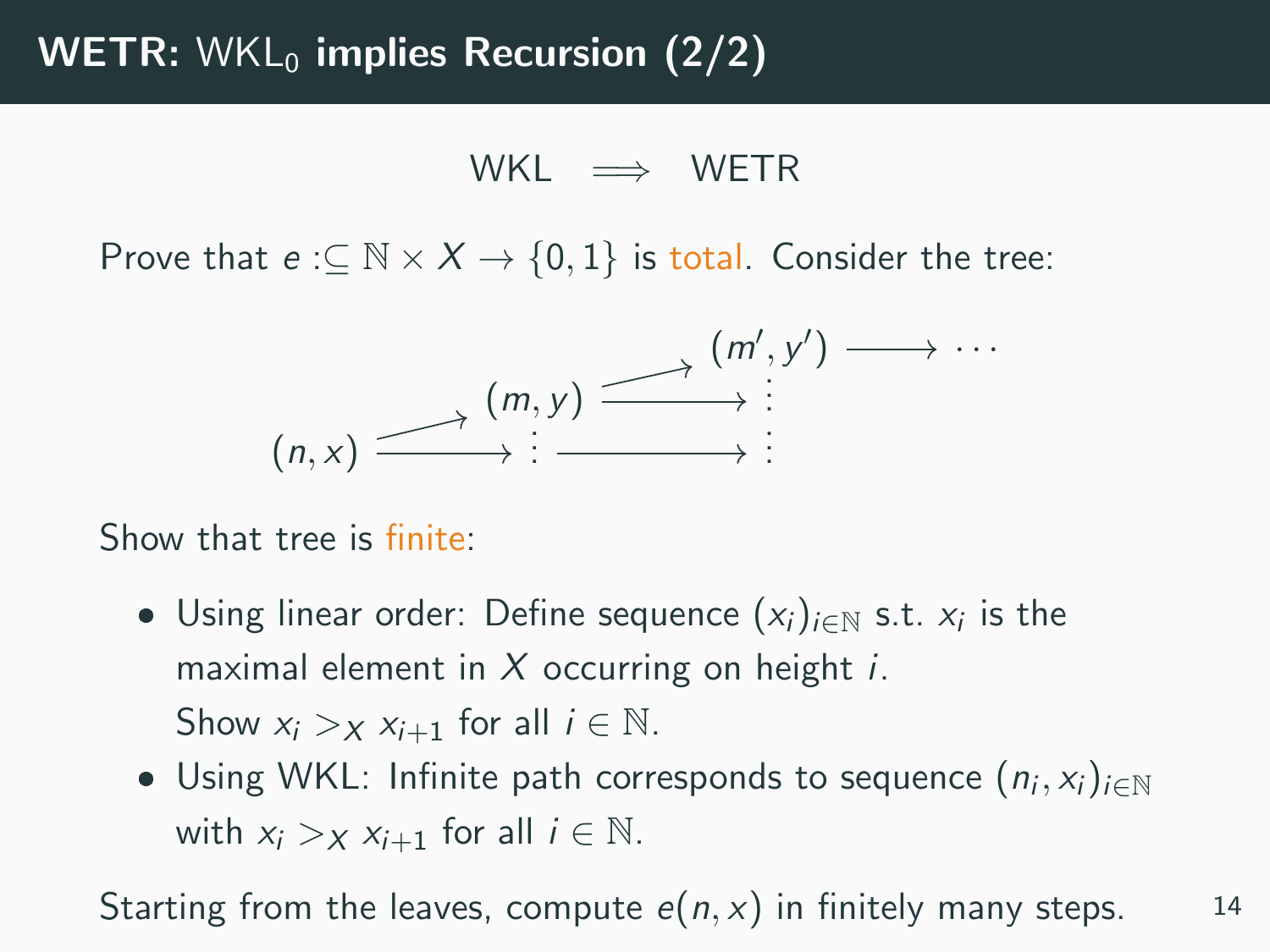$$
\text{WKL} \;\implies\; \text{WETR}
$$

Prove that  $e: \subseteq \mathbb{N} \times X \rightarrow \{0,1\}$  is total. Consider the tree:



Show that tree is finite:

- Using linear order: Define sequence  $(x_i)_{i \in \mathbb{N}}$  s.t.  $x_i$  is the maximal element in  $X$  occurring on height *i*. Show  $x_i > x$   $x_{i+1}$  for all  $i \in \mathbb{N}$ .
- Using WKL: Infinite path corresponds to sequence  $(n_i, x_i)_{i \in \mathbb{N}}$ with  $x_i >_X x_{i+1}$  for all  $i \in \mathbb{N}$ .

Starting from the leaves, compute  $e(n, x)$  in finitely many steps. 14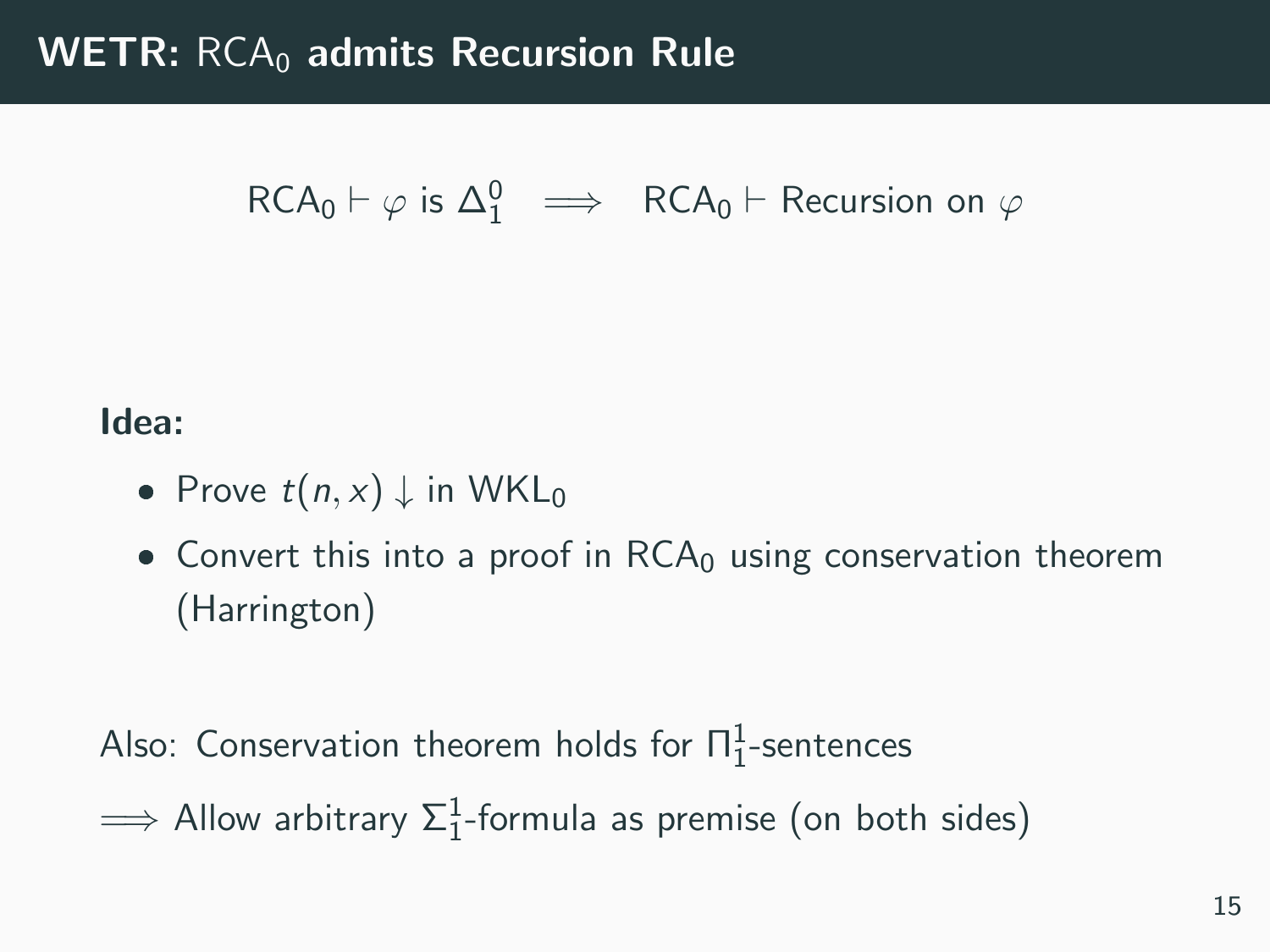# $RCA_0 \vdash \varphi$  is  $\Delta_1^0 \implies RCA_0 \vdash$  Recursion on  $\varphi$

#### Idea:

- Prove  $t(n, x) \downarrow$  in WKL<sub>0</sub>
- $\bullet$  Convert this into a proof in  $RCA_0$  using conservation theorem (Harrington)

Also: Conservation theorem holds for  $\Pi^1_1$ -sentences

 $\implies$  Allow arbitrary  $\Sigma^1_1$ -formula as premise (on both sides)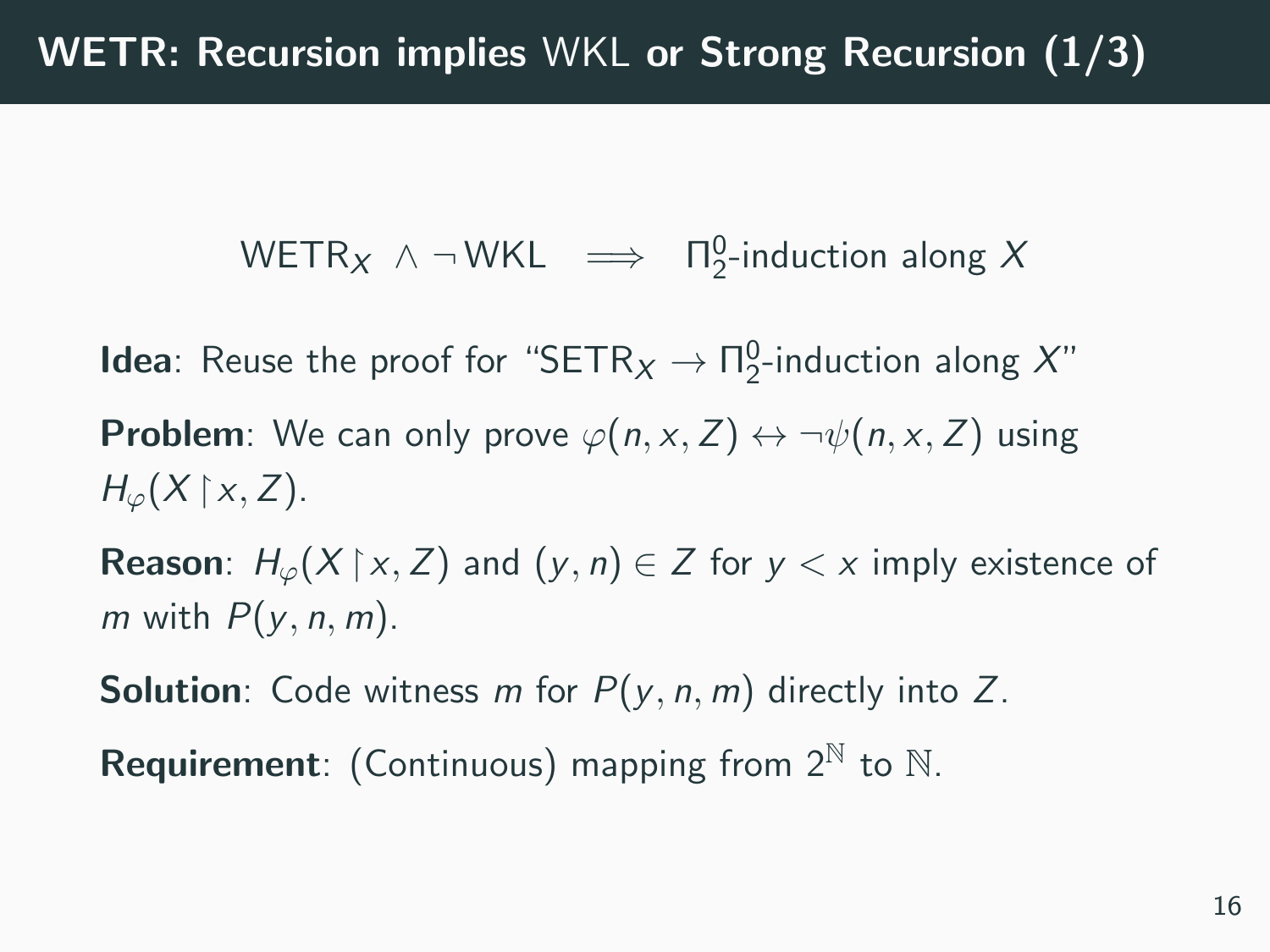$\text{WETR}_X \wedge \neg \text{WKL} \implies \Pi_2^0\text{-induction along }X$ 

**Idea**: Reuse the proof for "SETR $_X \rightarrow \Pi_2^0$ -induction along  $X$ " **Problem**: We can only prove  $\varphi(n, x, Z) \leftrightarrow \neg \psi(n, x, Z)$  using  $H_{\varphi}(X \upharpoonright x, Z)$ .

**Reason**:  $H_{\varphi}(X | x, Z)$  and  $(y, n) \in Z$  for  $y \in x$  imply existence of m with  $P(y, n, m)$ .

**Solution**: Code witness m for  $P(y, n, m)$  directly into Z.

**Requirement**: (Continuous) mapping from  $2^N$  to  $N$ .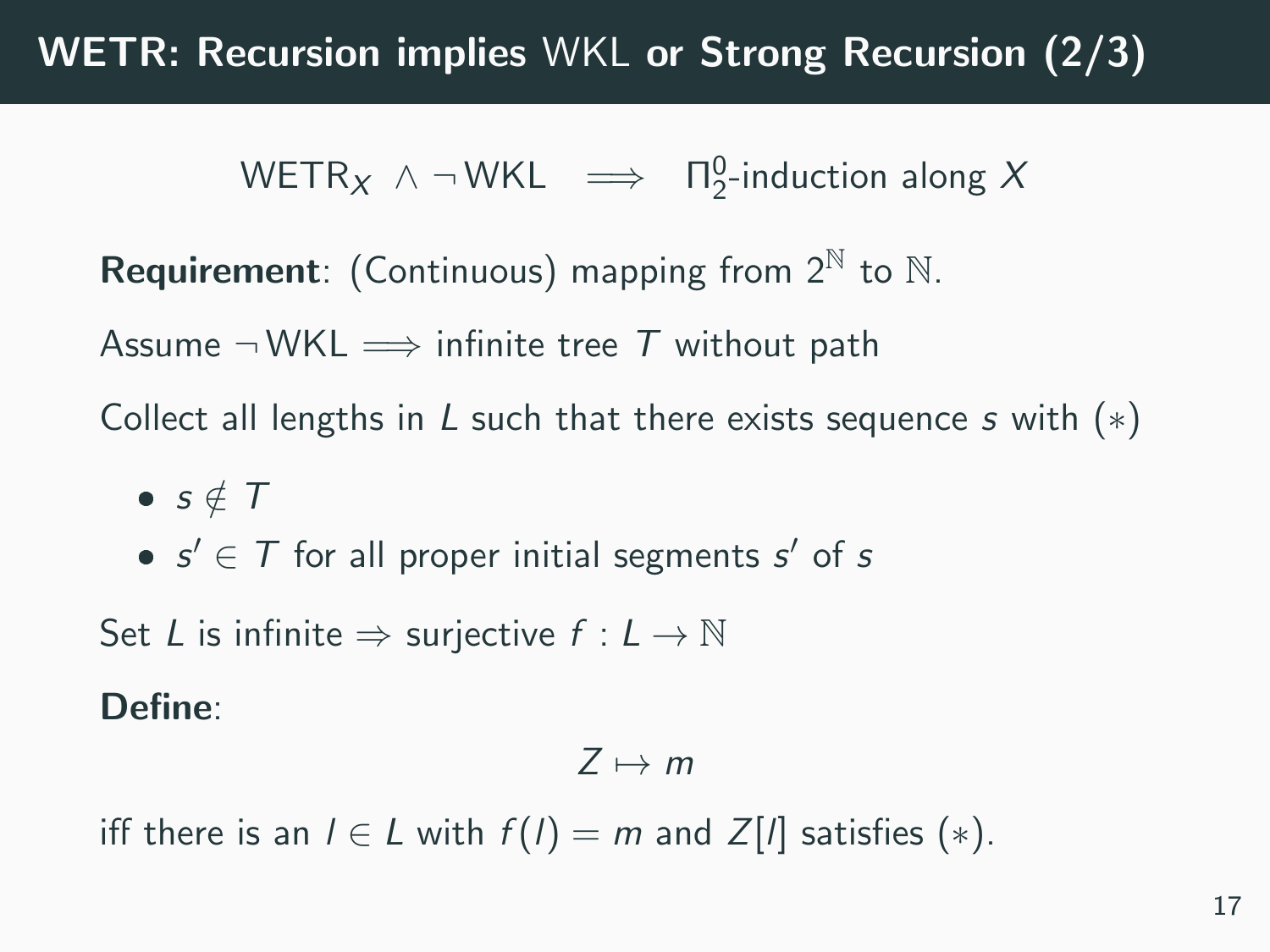# WETR: Recursion implies WKL or Strong Recursion (2/3)

 $\text{WETR}_X \wedge \neg \text{WKL} \implies \Pi_2^0\text{-induction along }X$ 

**Requirement**: (Continuous) mapping from  $2^N$  to  $N$ .

Assume  $\neg$  WKL  $\implies$  infinite tree T without path

Collect all lengths in L such that there exists sequence s with  $(*)$ 

- $s \notin T$
- $s' \in T$  for all proper initial segments  $s'$  of s

Set L is infinite  $\Rightarrow$  surjective  $f: L \rightarrow \mathbb{N}$ 

Define:

$$
Z\mapsto m
$$

iff there is an  $l \in L$  with  $f(l) = m$  and  $Z[l]$  satisfies  $(*)$ .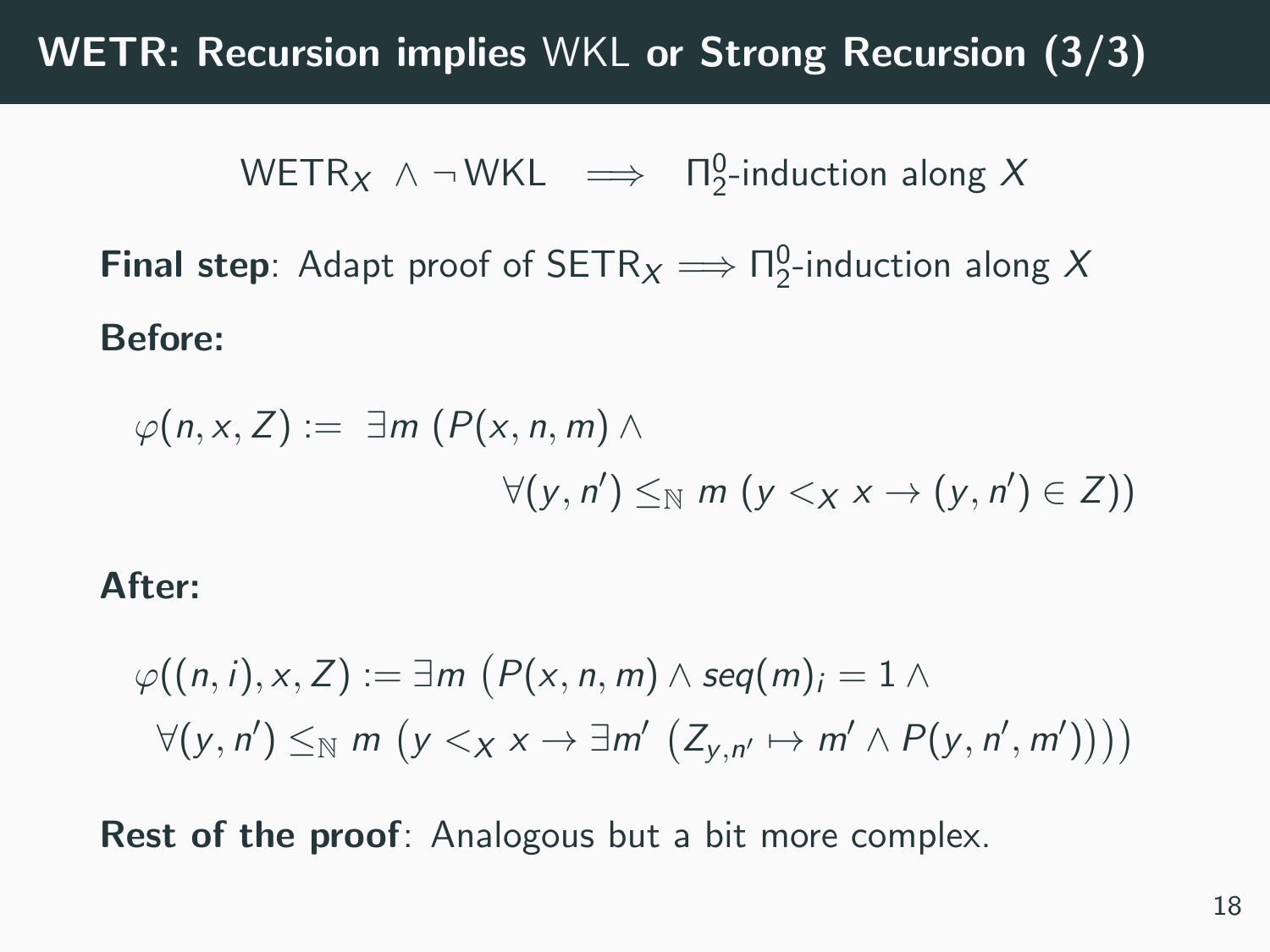## WETR: Recursion implies WKL or Strong Recursion (3/3)

 $\text{WETR}_X \wedge \neg \text{WKL} \implies \Pi_2^0\text{-induction along }X$ 

**Final step**: Adapt proof of  $\text{SETR}_X \Longrightarrow \Pi^0_2$ -induction along X Before:

$$
\varphi(n,x,Z) := \exists m \ (P(x,n,m) \land \forall (y,n') \leq_{\mathbb{N}} m \ (y <_{X} x \rightarrow (y,n') \in Z))
$$

#### After:

$$
\varphi((n,i),x,Z) := \exists m \ (P(x,n,m) \land seq(m)_i = 1 \land \newline \forall (y,n') \leq_N m \ (y <_X x \rightarrow \exists m' \ (Z_{y,n'} \mapsto m' \land P(y,n',m'))))
$$

**Rest of the proof**: Analogous but a bit more complex.